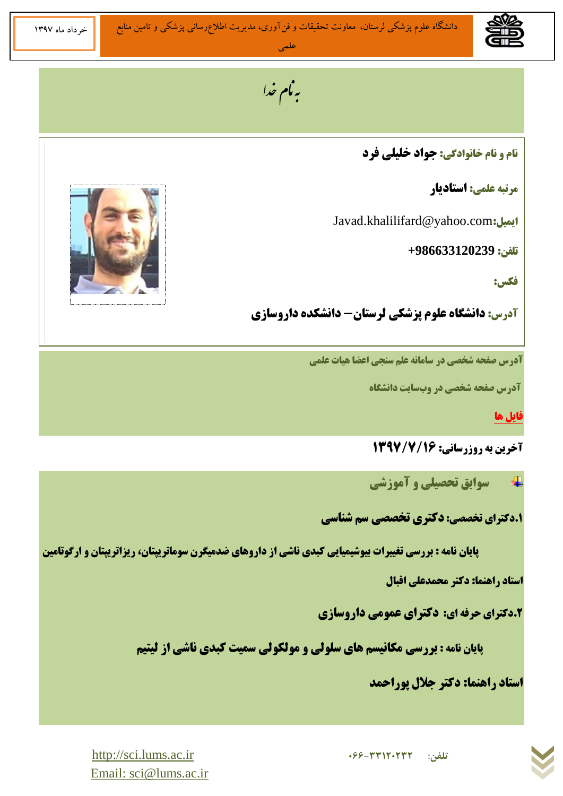به نام خدا

**ًبم ٍ ًبم خبًَادگی: جَاد خلیلی فرد**

**هرتجِ علوی: اظتبدیبر**

Javad.khalilifard@yahoo.com**:ایویل**

**تلفي: +986633120239**

**فکط:** 

**آدرض: داًشگبُ علَم پسشکی لرظتبى- داًشکذُ دارٍظبزی**

**آدرض صفحِ شخصی در ظبهبًِ علن ظٌجی اعضب ّیبت علوی**

**آدرض صفحِ شخصی در ٍةظبیت داًشگبُ**

**[فبیل ّب](http://www.tums.ac.ir/memberfiles/rnegarandeh)**

**آخرین به روزرسانی: 1393/7936** 

**ظَاثق تحصیلی ٍ آهَزشی** 

**.6دکترای تخصصی: دکتری تخصصی ظن شٌبظی**

 **پبیبى ًبهِ : ثررظی تغییرات ثیَشیویبیی کجذی ًبشی از دارٍّبی ضذهیگرى ظَهبتریپتبى، ریساتریپتبى ٍ ارگَتبهیي**

**استاد راهنما: دکتر محمدعلی اقبال** 

**.2دکترای حرفِ ای: دکترای عوَهی دارٍظبزی**

**پایان نامه : بررسی مکانیسم های سلولی و مولکولی سمیت کبدی ناشی از لیتیم** 

**استاد راهنما: دکتر جلال پوراحمد** 





[http://sci.lums.ac.ir](http://sci.lums.ac.ir/) **<sup>066</sup>-33120232 :تلفن** Email: sci@lums.ac.ir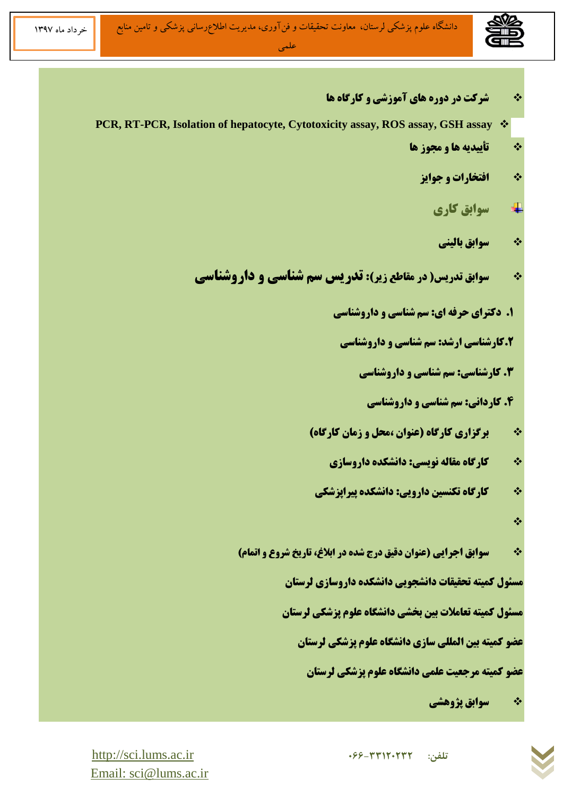خرداد ماه ١٣٩٧

- **شرکت در دٍرُ ّبی آهَزشی ٍ کبرگبُ ّب**
- **PCR, RT-PCR, Isolation of hepatocyte, Cytotoxicity assay, ROS assay, GSH assay**
	- **تأییذیِ ّب ٍ هجَز ّب**
		- **افتخبرات ٍ جَایس**
			- 4 **ظَاثق کبری**
			- **ظَاثق ثبلیٌی**
	- **ظَاثق تذریط) در هقبطع زیر(: تذریط ظن شٌبظی ٍ دارٍشٌبظی**
		- **۱. دکترای حرفه ای: سم شناسی و داروشناسی** 
			- **.2کبرشٌبظی ارشذ: ظن شٌبظی ٍ دارٍشٌبظی**
				- **.9 کبرشٌبظی: ظن شٌبظی ٍ دارٍشٌبظی**
					- **.4 کبرداًی: ظن شٌبظی ٍ دارٍشٌبظی**
		- **ثرگساری کبرگبُ )عٌَاى ،هحل ٍ زهبى کبرگبُ(**
			- **۶۰ میلی کارگاه مقاله نویسی: دانشکده داروسازی**
		- **کبرگبُ تکٌعیي دارٍیی: داًشکذُ پیراپسشکی**
			- $\frac{1}{2}$
		- **\* سوابق اجرایی (عنوان دقیق درج شده در ابلاغ، تاریخ شروع و اتمام)**

**هعئَل کویتِ تحقیقبت داًشجَیی داًشکذُ دارٍظبزی لرظتبى**

**مسئول کمیته تعاملات بین بخشی دانشگاه علوم پزشکی لرستان** 

**عضَ کویتِ ثیي الوللی ظبزی داًشگبُ علَم پسشکی لرظتبى**

**عضو کمیته مرجعیت علمی دانشگاه علوم پزشکی لرستان** 

**ظَاثق پصٍّشی** 



[http://sci.lums.ac.ir](http://sci.lums.ac.ir/) **<sup>066</sup>-33120232 :تلفن** Email: sci@lums.ac.ir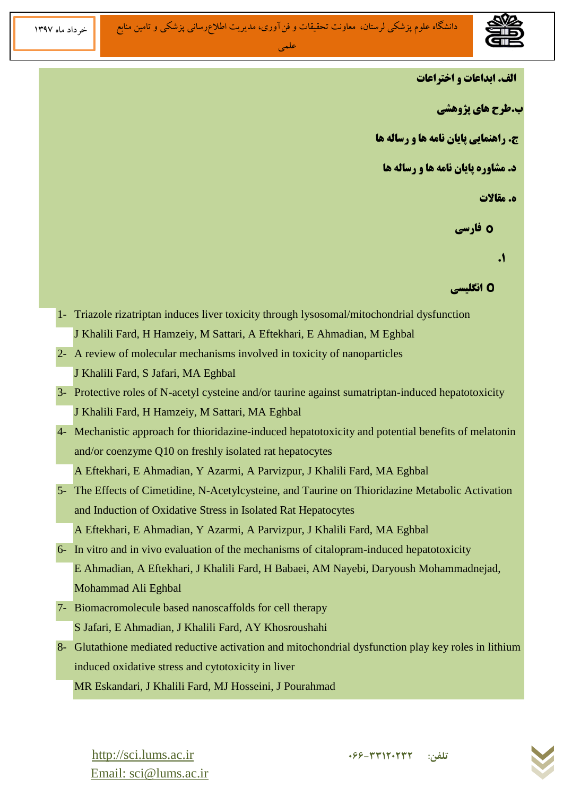

**الف. ابداعات و اختراعات** 

**ة.طرح ّبی پصٍّشی** 

**ج. راهنمایی پایان نامه ها و رساله ها** 

**د. مشاوره پایان نامه ها و رساله ها** 

**ه. مقالات** 

**0 فارسی** 

**.6**

 **اًگلیعی**

- 1- Triazole rizatriptan induces liver toxicity through lysosomal/mitochondrial dysfunction J Khalili Fard, H Hamzeiy, M Sattari, A Eftekhari, E Ahmadian, M Eghbal
- 2- A review of molecular mechanisms involved in toxicity of nanoparticles J Khalili Fard, S Jafari, MA Eghbal
- 3- Protective roles of N-acetyl cysteine and/or taurine against sumatriptan-induced hepatotoxicity J Khalili Fard, H Hamzeiy, M Sattari, MA Eghbal
- 4- Mechanistic approach for thioridazine-induced hepatotoxicity and potential benefits of melatonin and/or coenzyme Q10 on freshly isolated rat hepatocytes A Eftekhari, E Ahmadian, Y Azarmi, A Parvizpur, J Khalili Fard, MA Eghbal
- 5- The Effects of Cimetidine, N-Acetylcysteine, and Taurine on Thioridazine Metabolic Activation and Induction of Oxidative Stress in Isolated Rat Hepatocytes

A Eftekhari, E Ahmadian, Y Azarmi, A Parvizpur, J Khalili Fard, MA Eghbal

- 6- In vitro and in vivo evaluation of the mechanisms of citalopram-induced hepatotoxicity E Ahmadian, A Eftekhari, J Khalili Fard, H Babaei, AM Nayebi, Daryoush Mohammadnejad, Mohammad Ali Eghbal
- 7- Biomacromolecule based nanoscaffolds for cell therapy S Jafari, E Ahmadian, J Khalili Fard, AY Khosroushahi
- 8- Glutathione mediated reductive activation and mitochondrial dysfunction play key roles in lithium induced oxidative stress and cytotoxicity in liver

MR Eskandari, J Khalili Fard, MJ Hosseini, J Pourahmad

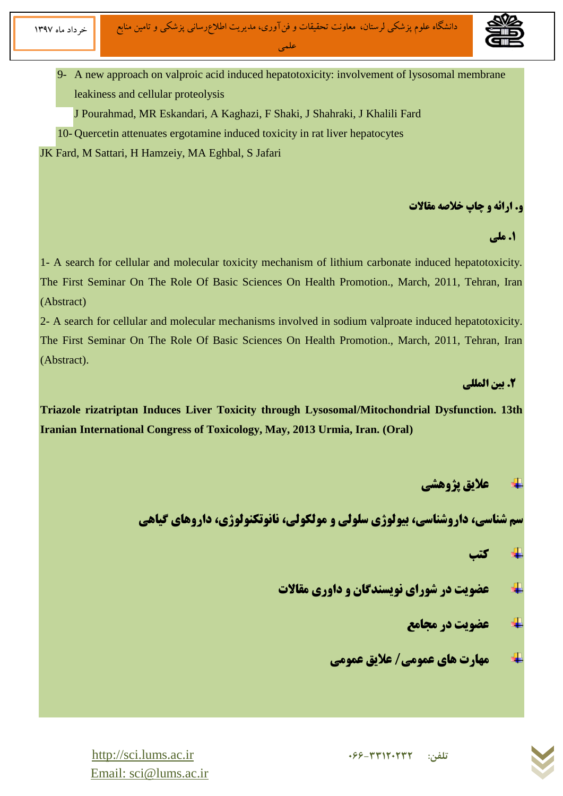

9- A new approach on valproic acid induced hepatotoxicity: involvement of lysosomal membrane leakiness and cellular proteolysis

J Pourahmad, MR Eskandari, A Kaghazi, F Shaki, J Shahraki, J Khalili Fard

10- Quercetin attenuates ergotamine induced toxicity in rat liver hepatocytes

JK Fard, M Sattari, H Hamzeiy, MA Eghbal, S Jafari

## **و. ارائه و چاپ خلاصه مقالات**

 **.6 هلی** 

1- A search for cellular and molecular toxicity mechanism of lithium carbonate induced hepatotoxicity. The First Seminar On The Role Of Basic Sciences On Health Promotion., March, 2011, Tehran, Iran (Abstract)

2- A search for cellular and molecular mechanisms involved in sodium valproate induced hepatotoxicity. The First Seminar On The Role Of Basic Sciences On Health Promotion., March, 2011, Tehran, Iran (Abstract).

## **.2 ثیي الوللی**

**Triazole rizatriptan Induces Liver Toxicity through Lysosomal/Mitochondrial Dysfunction. 13th Iranian International Congress of Toxicology, May, 2013 Urmia, Iran. (Oral)**

## **عالیق پصٍّشی**

**سم شناسی، داروشناسی، بیولوژی سلولی و مولکولی، نانوتکنولوژی، داروهای گیاهی** 

**کتت**

- **عضَیت در شَرای ًَیعٌذگبى ٍ داٍری هقبالت**
	- **عضَیت در هجبهع**
	- **هْبرت ّبی عوَهی/ عالیق عوَهی**



[http://sci.lums.ac.ir](http://sci.lums.ac.ir/) **<sup>066</sup>-33120232 :تلفن** Email: sci@lums.ac.ir